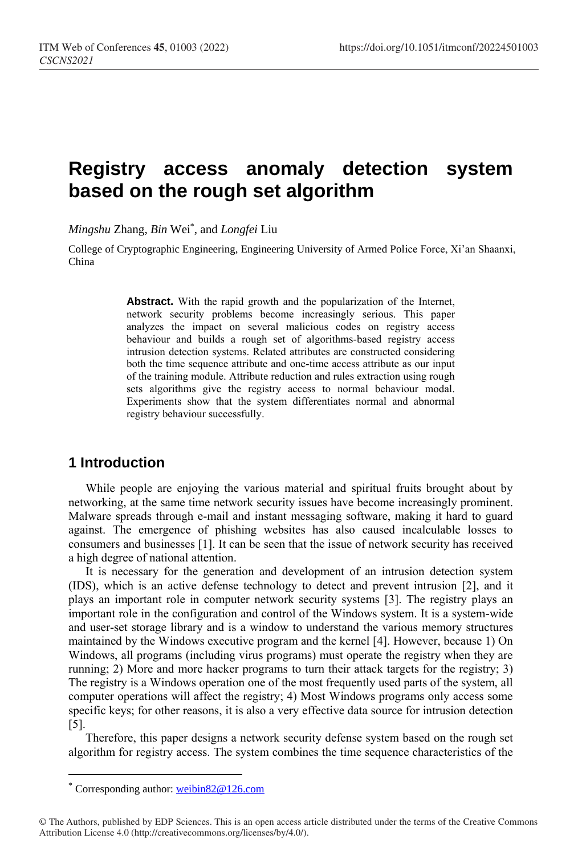# **Registry access anomaly detection system based on the rough set algorithm**

*Mingshu* Zhang, *Bin* Wei\* , and *Longfei* Liu

College of Cryptographic Engineering, Engineering University of Armed Police Force, Xi'an Shaanxi, China

> **Abstract.** With the rapid growth and the popularization of the Internet, network security problems become increasingly serious. This paper analyzes the impact on several malicious codes on registry access behaviour and builds a rough set of algorithms-based registry access intrusion detection systems. Related attributes are constructed considering both the time sequence attribute and one-time access attribute as our input of the training module. Attribute reduction and rules extraction using rough sets algorithms give the registry access to normal behaviour modal. Experiments show that the system differentiates normal and abnormal registry behaviour successfully.

### **1 Introduction**

While people are enjoying the various material and spiritual fruits brought about by networking, at the same time network security issues have become increasingly prominent. Malware spreads through e-mail and instant messaging software, making it hard to guard against. The emergence of phishing websites has also caused incalculable losses to consumers and businesses [1]. It can be seen that the issue of network security has received a high degree of national attention.

It is necessary for the generation and development of an intrusion detection system (IDS), which is an active defense technology to detect and prevent intrusion [2], and it plays an important role in computer network security systems [3]. The registry plays an important role in the configuration and control of the Windows system. It is a system-wide and user-set storage library and is a window to understand the various memory structures maintained by the Windows executive program and the kernel [4]. However, because 1) On Windows, all programs (including virus programs) must operate the registry when they are running; 2) More and more hacker programs to turn their attack targets for the registry; 3) The registry is a Windows operation one of the most frequently used parts of the system, all computer operations will affect the registry; 4) Most Windows programs only access some specific keys; for other reasons, it is also a very effective data source for intrusion detection [5].

Therefore, this paper designs a network security defense system based on the rough set algorithm for registry access. The system combines the time sequence characteristics of the

 $\overline{a}$ 

<sup>\*</sup> Corresponding author: [weibin82@126.com](mailto:weibin82@126.com)

<sup>©</sup> The Authors, published by EDP Sciences. This is an open access article distributed under the terms of the Creative Commons Attribution License 4.0 (http://creativecommons.org/licenses/by/4.0/).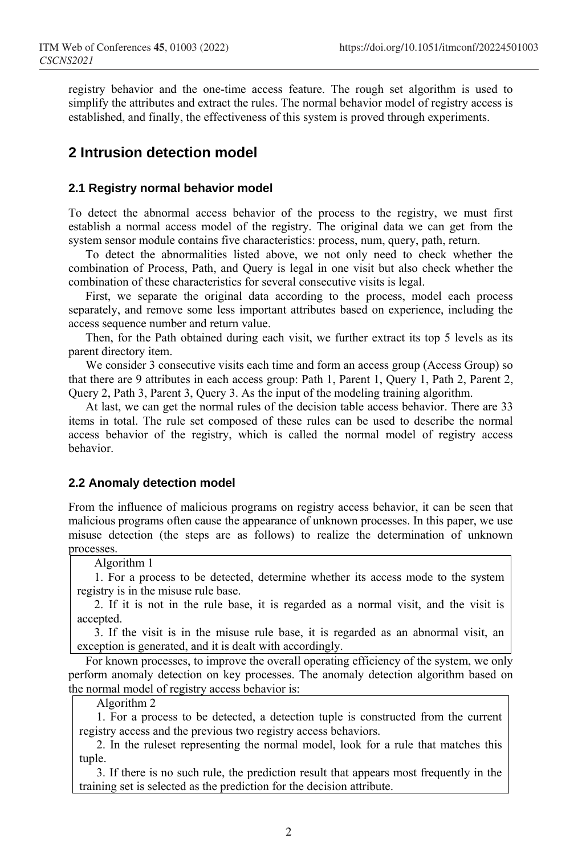registry behavior and the one-time access feature. The rough set algorithm is used to simplify the attributes and extract the rules. The normal behavior model of registry access is established, and finally, the effectiveness of this system is proved through experiments.

# **2 Intrusion detection model**

#### **2.1 Registry normal behavior model**

To detect the abnormal access behavior of the process to the registry, we must first establish a normal access model of the registry. The original data we can get from the system sensor module contains five characteristics: process, num, query, path, return.

To detect the abnormalities listed above, we not only need to check whether the combination of Process, Path, and Query is legal in one visit but also check whether the combination of these characteristics for several consecutive visits is legal.

First, we separate the original data according to the process, model each process separately, and remove some less important attributes based on experience, including the access sequence number and return value.

Then, for the Path obtained during each visit, we further extract its top 5 levels as its parent directory item.

We consider 3 consecutive visits each time and form an access group (Access Group) so that there are 9 attributes in each access group: Path 1, Parent 1, Query 1, Path 2, Parent 2, Query 2, Path 3, Parent 3, Query 3. As the input of the modeling training algorithm.

At last, we can get the normal rules of the decision table access behavior. There are 33 items in total. The rule set composed of these rules can be used to describe the normal access behavior of the registry, which is called the normal model of registry access behavior.

#### **2.2 Anomaly detection model**

From the influence of malicious programs on registry access behavior, it can be seen that malicious programs often cause the appearance of unknown processes. In this paper, we use misuse detection (the steps are as follows) to realize the determination of unknown processes.

Algorithm 1

1. For a process to be detected, determine whether its access mode to the system registry is in the misuse rule base.

2. If it is not in the rule base, it is regarded as a normal visit, and the visit is accepted.

3. If the visit is in the misuse rule base, it is regarded as an abnormal visit, an exception is generated, and it is dealt with accordingly.

For known processes, to improve the overall operating efficiency of the system, we only perform anomaly detection on key processes. The anomaly detection algorithm based on the normal model of registry access behavior is:

Algorithm 2

1. For a process to be detected, a detection tuple is constructed from the current registry access and the previous two registry access behaviors.

2. In the ruleset representing the normal model, look for a rule that matches this tuple.

3. If there is no such rule, the prediction result that appears most frequently in the training set is selected as the prediction for the decision attribute.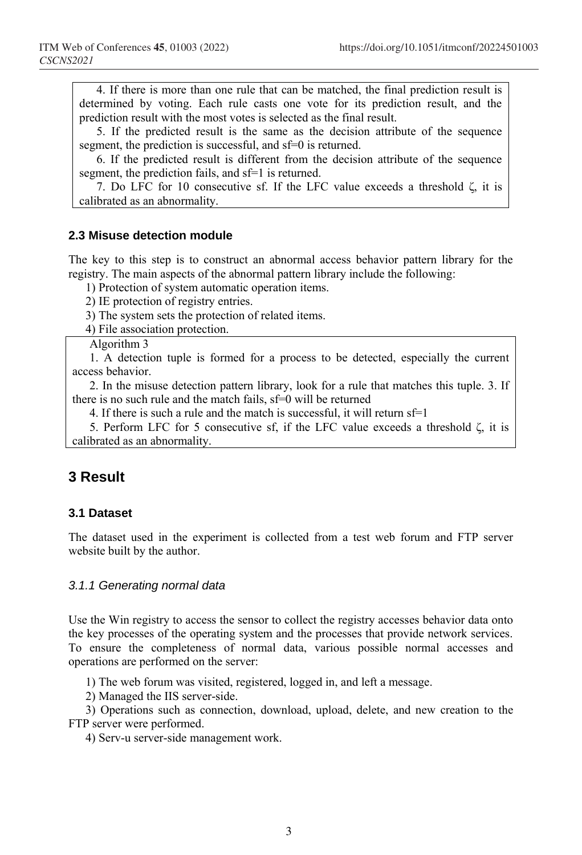4. If there is more than one rule that can be matched, the final prediction result is determined by voting. Each rule casts one vote for its prediction result, and the prediction result with the most votes is selected as the final result.

5. If the predicted result is the same as the decision attribute of the sequence segment, the prediction is successful, and sf=0 is returned.

6. If the predicted result is different from the decision attribute of the sequence segment, the prediction fails, and sf=1 is returned.

7. Do LFC for 10 consecutive sf. If the LFC value exceeds a threshold ζ, it is calibrated as an abnormality.

#### **2.3 Misuse detection module**

The key to this step is to construct an abnormal access behavior pattern library for the registry. The main aspects of the abnormal pattern library include the following:

1) Protection of system automatic operation items.

2) IE protection of registry entries.

3) The system sets the protection of related items.

4) File association protection.

Algorithm 3

1. A detection tuple is formed for a process to be detected, especially the current access behavior.

2. In the misuse detection pattern library, look for a rule that matches this tuple. 3. If there is no such rule and the match fails, sf=0 will be returned

4. If there is such a rule and the match is successful, it will return  $sf=1$ 

5. Perform LFC for 5 consecutive sf, if the LFC value exceeds a threshold ζ, it is calibrated as an abnormality.

## **3 Result**

#### **3.1 Dataset**

The dataset used in the experiment is collected from a test web forum and FTP server website built by the author.

#### *3.1.1 Generating normal data*

Use the Win registry to access the sensor to collect the registry accesses behavior data onto the key processes of the operating system and the processes that provide network services. To ensure the completeness of normal data, various possible normal accesses and operations are performed on the server:

1) The web forum was visited, registered, logged in, and left a message.

2) Managed the IIS server-side.

3) Operations such as connection, download, upload, delete, and new creation to the FTP server were performed.

4) Serv-u server-side management work.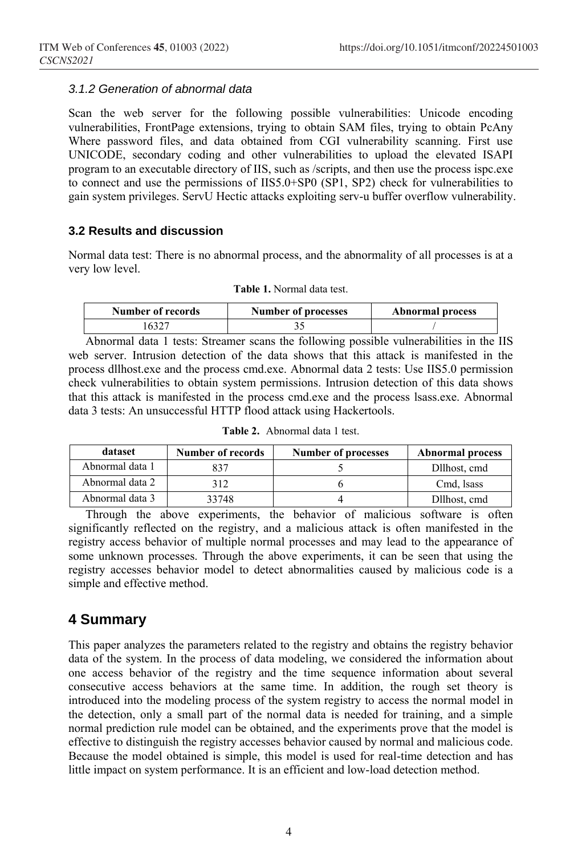#### *3.1.2 Generation of abnormal data*

Scan the web server for the following possible vulnerabilities: Unicode encoding vulnerabilities, FrontPage extensions, trying to obtain SAM files, trying to obtain PcAny Where password files, and data obtained from CGI vulnerability scanning. First use UNICODE, secondary coding and other vulnerabilities to upload the elevated ISAPI program to an executable directory of IIS, such as /scripts, and then use the process ispc.exe to connect and use the permissions of IIS5.0+SP0 (SP1, SP2) check for vulnerabilities to gain system privileges. ServU Hectic attacks exploiting serv-u buffer overflow vulnerability.

#### **3.2 Results and discussion**

Normal data test: There is no abnormal process, and the abnormality of all processes is at a very low level.

**Table 1.** Normal data test.

| Number of records | Number of processes | <b>Abnormal process</b> |
|-------------------|---------------------|-------------------------|
|                   |                     |                         |

Abnormal data 1 tests: Streamer scans the following possible vulnerabilities in the IIS web server. Intrusion detection of the data shows that this attack is manifested in the process dllhost.exe and the process cmd.exe. Abnormal data 2 tests: Use IIS5.0 permission check vulnerabilities to obtain system permissions. Intrusion detection of this data shows that this attack is manifested in the process cmd.exe and the process lsass.exe. Abnormal data 3 tests: An unsuccessful HTTP flood attack using Hackertools.

| dataset         | Number of records | <b>Number of processes</b> | <b>Abnormal process</b> |
|-----------------|-------------------|----------------------------|-------------------------|
| Abnormal data 1 |                   |                            | Dllhost, cmd            |
| Abnormal data 2 | 312               |                            | Cmd, Isass              |
| Abnormal data 3 | 33748             |                            | Dllhost, cmd            |

**Table 2.** Abnormal data 1 test.

Through the above experiments, the behavior of malicious software is often significantly reflected on the registry, and a malicious attack is often manifested in the registry access behavior of multiple normal processes and may lead to the appearance of some unknown processes. Through the above experiments, it can be seen that using the registry accesses behavior model to detect abnormalities caused by malicious code is a simple and effective method.

## **4 Summary**

This paper analyzes the parameters related to the registry and obtains the registry behavior data of the system. In the process of data modeling, we considered the information about one access behavior of the registry and the time sequence information about several consecutive access behaviors at the same time. In addition, the rough set theory is introduced into the modeling process of the system registry to access the normal model in the detection, only a small part of the normal data is needed for training, and a simple normal prediction rule model can be obtained, and the experiments prove that the model is effective to distinguish the registry accesses behavior caused by normal and malicious code. Because the model obtained is simple, this model is used for real-time detection and has little impact on system performance. It is an efficient and low-load detection method.